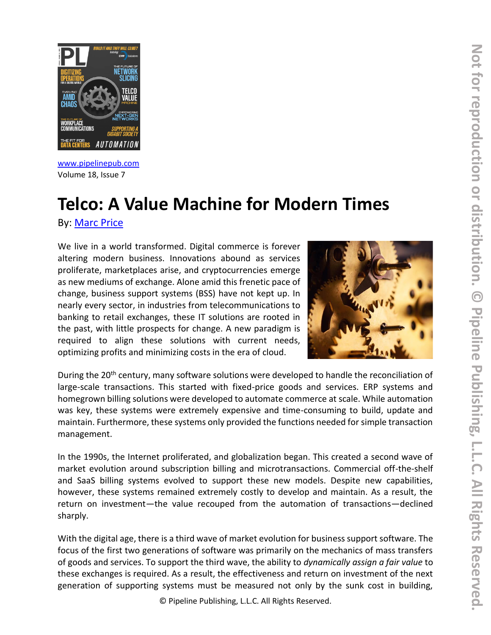

[www.pipelinepub.com](https://www.pipelinepub.com/260) Volume 18, Issue 7

# **Telco: A Value Machine for Modern Times**

By: [Marc Price](https://www.pipelinepub.com/contributors#Marc-Price)

We live in a world transformed. Digital commerce is forever altering modern business. Innovations abound as services proliferate, marketplaces arise, and cryptocurrencies emerge as new mediums of exchange. Alone amid this frenetic pace of change, business support systems (BSS) have not kept up. In nearly every sector, in industries from telecommunications to banking to retail exchanges, these IT solutions are rooted in the past, with little prospects for change. A new paradigm is required to align these solutions with current needs, optimizing profits and minimizing costs in the era of cloud.



During the 20<sup>th</sup> century, many software solutions were developed to handle the reconciliation of large-scale transactions. This started with fixed-price goods and services. ERP systems and homegrown billing solutions were developed to automate commerce at scale. While automation was key, these systems were extremely expensive and time-consuming to build, update and maintain. Furthermore, these systems only provided the functions needed for simple transaction management.

In the 1990s, the Internet proliferated, and globalization began. This created a second wave of market evolution around subscription billing and microtransactions. Commercial off-the-shelf and SaaS billing systems evolved to support these new models. Despite new capabilities, however, these systems remained extremely costly to develop and maintain. As a result, the return on investment—the value recouped from the automation of transactions—declined sharply.

With the digital age, there is a third wave of market evolution for business support software. The focus of the first two generations of software was primarily on the mechanics of mass transfers of goods and services. To support the third wave, the ability to *dynamically assign a fair value* to these exchanges is required. As a result, the effectiveness and return on investment of the next generation of supporting systems must be measured not only by the sunk cost in building,

© Pipeline Publishing, L.L.C. All Rights Reserved.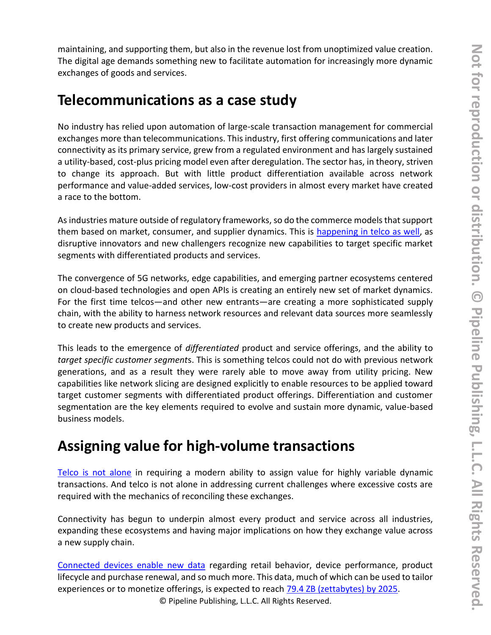maintaining, and supporting them, but also in the revenue lost from unoptimized value creation. The digital age demands something new to facilitate automation for increasingly more dynamic exchanges of goods and services.

### **Telecommunications as a case study**

No industry has relied upon automation of large-scale transaction management for commercial exchanges more than telecommunications. This industry, first offering communications and later connectivity as its primary service, grew from a regulated environment and has largely sustained a utility-based, cost-plus pricing model even after deregulation. The sector has, in theory, striven to change its approach. But with little product differentiation available across network performance and value-added services, low-cost providers in almost every market have created a race to the bottom.

As industries mature outside of regulatory frameworks, so do the commerce models that support them based on market, consumer, and supplier dynamics. This is [happening in telco as well,](https://venturebeat.com/2020/02/25/software-eats-telco-the-coming-disruption/) as disruptive innovators and new challengers recognize new capabilities to target specific market segments with differentiated products and services.

The convergence of 5G networks, edge capabilities, and emerging partner ecosystems centered on cloud-based technologies and open APIs is creating an entirely new set of market dynamics. For the first time telcos—and other new entrants—are creating a more sophisticated supply chain, with the ability to harness network resources and relevant data sources more seamlessly to create new products and services.

This leads to the emergence of *differentiated* product and service offerings, and the ability to *target specific customer segment*s. This is something telcos could not do with previous network generations, and as a result they were rarely able to move away from utility pricing. New capabilities like network slicing are designed explicitly to enable resources to be applied toward target customer segments with differentiated product offerings. Differentiation and customer segmentation are the key elements required to evolve and sustain more dynamic, value-based business models.

### **Assigning value for high-volume transactions**

[Telco is not alone](https://www.irena.org/-/media/Files/IRENA/Agency/Publication/2019/Feb/IRENA_Innovation_ToU_tariffs_2019.pdf?la=en&hash=36658ADA8AA98677888DB2C184D1EE6A048C7470) in requiring a modern ability to assign value for highly variable dynamic transactions. And telco is not alone in addressing current challenges where excessive costs are required with the mechanics of reconciling these exchanges.

Connectivity has begun to underpin almost every product and service across all industries, expanding these ecosystems and having major implications on how they exchange value across a new supply chain.

[Connected devices enable new data](https://www.gartner.com/en/documents/3981989) regarding retail behavior, device performance, product lifecycle and purchase renewal, and so much more. This data, much of which can be used to tailor experiences or to monetize offerings, is expected to reach [79.4 ZB \(zettabytes\) by 2025.](https://blogs.idc.com/2019/11/04/how-you-contribute-to-todays-growing-datasphere-and-its-enterprise-impact/)

© Pipeline Publishing, L.L.C. All Rights Reserved.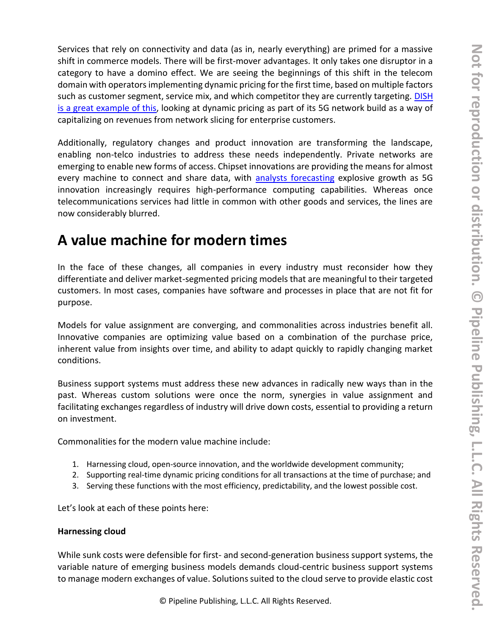Services that rely on connectivity and data (as in, nearly everything) are primed for a massive shift in commerce models. There will be first-mover advantages. It only takes one disruptor in a category to have a domino effect. We are seeing the beginnings of this shift in the telecom domain with operators implementing dynamic pricing for the first time, based on multiple factors such as customer segment, service mix, and which competitor they are currently targeting. DISH [is a great example of this,](https://www.mobileworldlive.com/blog/blog-will-dish-renew-interest-in-dynamic-pricing) looking at dynamic pricing as part of its 5G network build as a way of capitalizing on revenues from network slicing for enterprise customers.

Additionally, regulatory changes and product innovation are transforming the landscape, enabling non-telco industries to address these needs independently. Private networks are emerging to enable new forms of access. Chipset innovations are providing the means for almost every machine to connect and share data, with [analysts forecasting](https://www.gartner.com/en/documents/4006453) explosive growth as 5G innovation increasingly requires high-performance computing capabilities. Whereas once telecommunications services had little in common with other goods and services, the lines are now considerably blurred.

### **A value machine for modern times**

In the face of these changes, all companies in every industry must reconsider how they differentiate and deliver market-segmented pricing models that are meaningful to their targeted customers. In most cases, companies have software and processes in place that are not fit for purpose.

Models for value assignment are converging, and commonalities across industries benefit all. Innovative companies are optimizing value based on a combination of the purchase price, inherent value from insights over time, and ability to adapt quickly to rapidly changing market conditions.

Business support systems must address these new advances in radically new ways than in the past. Whereas custom solutions were once the norm, synergies in value assignment and facilitating exchanges regardless of industry will drive down costs, essential to providing a return on investment.

Commonalities for the modern value machine include:

- 1. Harnessing cloud, open-source innovation, and the worldwide development community;
- 2. Supporting real-time dynamic pricing conditions for all transactions at the time of purchase; and
- 3. Serving these functions with the most efficiency, predictability, and the lowest possible cost.

Let's look at each of these points here:

#### **Harnessing cloud**

While sunk costs were defensible for first- and second-generation business support systems, the variable nature of emerging business models demands cloud-centric business support systems to manage modern exchanges of value. Solutions suited to the cloud serve to provide elastic cost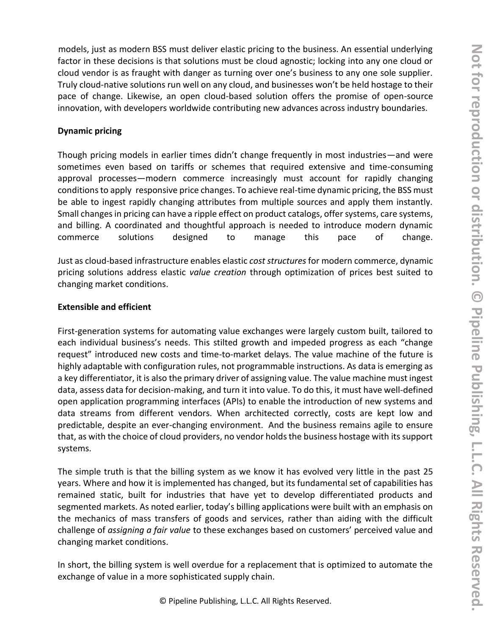models, just as modern BSS must deliver elastic pricing to the business. An essential underlying factor in these decisions is that solutions must be cloud agnostic; locking into any one cloud or cloud vendor is as fraught with danger as turning over one's business to any one sole supplier. Truly cloud-native solutions run well on any cloud, and businesses won't be held hostage to their pace of change. Likewise, an open cloud-based solution offers the promise of open-source innovation, with developers worldwide contributing new advances across industry boundaries.

#### **Dynamic pricing**

Though pricing models in earlier times didn't change frequently in most industries—and were sometimes even based on tariffs or schemes that required extensive and time-consuming approval processes—modern commerce increasingly must account for rapidly changing conditions to apply responsive price changes. To achieve real-time dynamic pricing, the BSS must be able to ingest rapidly changing attributes from multiple sources and apply them instantly. Small changes in pricing can have a ripple effect on product catalogs, offer systems, care systems, and billing. A coordinated and thoughtful approach is needed to introduce modern dynamic commerce solutions designed to manage this pace of change.

Just as cloud-based infrastructure enables elastic *cost structures*for modern commerce, dynamic pricing solutions address elastic *value creation* through optimization of prices best suited to changing market conditions.

#### **Extensible and efficient**

First-generation systems for automating value exchanges were largely custom built, tailored to each individual business's needs. This stilted growth and impeded progress as each "change request" introduced new costs and time-to-market delays. The value machine of the future is highly adaptable with configuration rules, not programmable instructions. As data is emerging as a key differentiator, it is also the primary driver of assigning value. The value machine must ingest data, assess data for decision-making, and turn it into value. To do this, it must have well-defined open application programming interfaces (APIs) to enable the introduction of new systems and data streams from different vendors. When architected correctly, costs are kept low and predictable, despite an ever-changing environment. And the business remains agile to ensure that, as with the choice of cloud providers, no vendor holds the business hostage with its support systems.

The simple truth is that the billing system as we know it has evolved very little in the past 25 years. Where and how it is implemented has changed, but its fundamental set of capabilities has remained static, built for industries that have yet to develop differentiated products and segmented markets. As noted earlier, today's billing applications were built with an emphasis on the mechanics of mass transfers of goods and services, rather than aiding with the difficult challenge of *assigning a fair value* to these exchanges based on customers' perceived value and changing market conditions.

In short, the billing system is well overdue for a replacement that is optimized to automate the exchange of value in a more sophisticated supply chain.